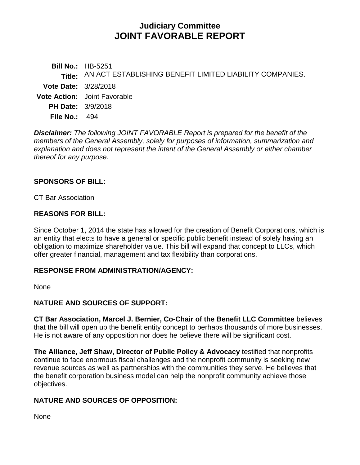# **Judiciary Committee JOINT FAVORABLE REPORT**

**Bill No.:** HB-5251 **Title:** AN ACT ESTABLISHING BENEFIT LIMITED LIABILITY COMPANIES. **Vote Date:** 3/28/2018 **Vote Action:** Joint Favorable **PH Date:** 3/9/2018 **File No.:** 494

*Disclaimer: The following JOINT FAVORABLE Report is prepared for the benefit of the members of the General Assembly, solely for purposes of information, summarization and explanation and does not represent the intent of the General Assembly or either chamber thereof for any purpose.*

### **SPONSORS OF BILL:**

CT Bar Association

### **REASONS FOR BILL:**

Since October 1, 2014 the state has allowed for the creation of Benefit Corporations, which is an entity that elects to have a general or specific public benefit instead of solely having an obligation to maximize shareholder value. This bill will expand that concept to LLCs, which offer greater financial, management and tax flexibility than corporations.

### **RESPONSE FROM ADMINISTRATION/AGENCY:**

None

### **NATURE AND SOURCES OF SUPPORT:**

**CT Bar Association, Marcel J. Bernier, Co-Chair of the Benefit LLC Committee** believes that the bill will open up the benefit entity concept to perhaps thousands of more businesses. He is not aware of any opposition nor does he believe there will be significant cost.

**The Alliance, Jeff Shaw, Director of Public Policy & Advocacy** testified that nonprofits continue to face enormous fiscal challenges and the nonprofit community is seeking new revenue sources as well as partnerships with the communities they serve. He believes that the benefit corporation business model can help the nonprofit community achieve those objectives.

## **NATURE AND SOURCES OF OPPOSITION:**

None